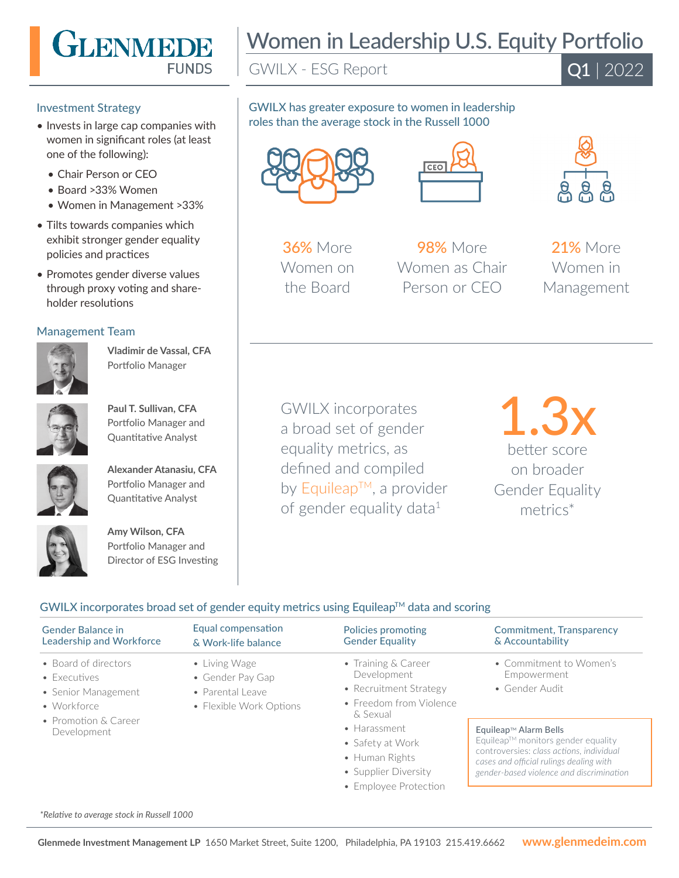

#### Investment Strategy

- Invests in large cap companies with women in significant roles (at least one of the following):
	- Chair Person or CEO
	- Board >33% Women
	- Women in Management >33%
- Tilts towards companies which exhibit stronger gender equality policies and practices
- Promotes gender diverse values through proxy voting and shareholder resolutions

## Management Team



**Vladimir de Vassal, CFA**  Portfolio Manager



**Paul T. Sullivan, CFA**  Portfolio Manager and Quantitative Analyst



**Alexander Atanasiu, CFA**  Portfolio Manager and Quantitative Analyst



**Amy Wilson, CFA**  Portfolio Manager and Director of ESG Investing

# Women in Leadership U.S. Equity Portfolio

GWILX - ESG Report

 $\overline{Q1}$  | 2022

# GWILX has greater exposure to women in leadership roles than the average stock in the Russell 1000





**36%** More Women on the Board

**98%** More Women as Chair Person or CEO



21% More Women in Management

GWILX incorporates a broad set of gender equality metrics, as defined and compiled by Equileap™, a provider of gender equality data<sup>1</sup>

1.3x better score on broader Gender Equality metrics\*

# $GWILX$  incorporates broad set of gender equity metrics using Equileap<sup>TM</sup> data and scoring

| <b>Gender Balance in</b>                                                                                                  | Equal compensation                                                               | Policies promoting                                                                                                                                                                                                   | <b>Commitment, Transparency</b>                                                                                                                                                                                                                            |
|---------------------------------------------------------------------------------------------------------------------------|----------------------------------------------------------------------------------|----------------------------------------------------------------------------------------------------------------------------------------------------------------------------------------------------------------------|------------------------------------------------------------------------------------------------------------------------------------------------------------------------------------------------------------------------------------------------------------|
| <b>Leadership and Workforce</b>                                                                                           | & Work-life balance                                                              | <b>Gender Equality</b>                                                                                                                                                                                               | & Accountability                                                                                                                                                                                                                                           |
| • Board of directors<br>$\bullet$ Executives<br>• Senior Management<br>• Workforce<br>• Promotion & Career<br>Development | • Living Wage<br>• Gender Pay Gap<br>• Parental Leave<br>• Flexible Work Options | • Training $&$ Career<br>Development<br>• Recruitment Strategy<br>• Freedom from Violence<br>& Sexual<br>$\bullet$ Harassment<br>• Safety at Work<br>• Human Rights<br>• Supplier Diversity<br>• Employee Protection | • Commitment to Women's<br>Empowerment<br>• Gender Audit<br>Equileap™ Alarm Bells<br>Equileap™ monitors gender equality<br>controversies: class actions, individual<br>cases and official rulings dealing with<br>gender-based violence and discrimination |

*\*Relative to average stock in Russell 1000*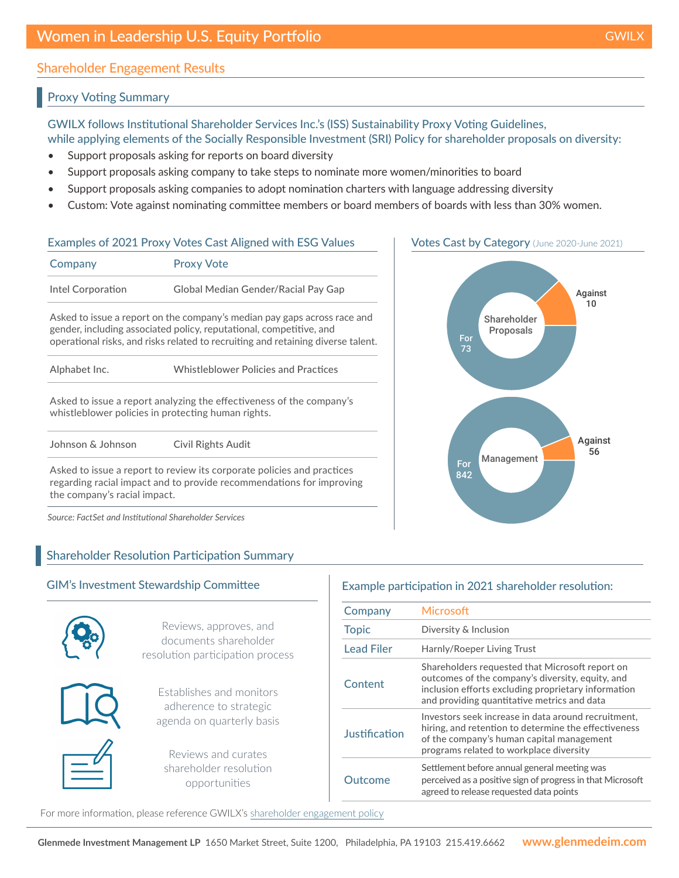# Shareholder Engagement Results

# Proxy Voting Summary

GWILX follows Institutional Shareholder Services Inc.'s (ISS) Sustainability Proxy Voting Guidelines, while applying elements of the Socially Responsible Investment (SRI) Policy for shareholder proposals on diversity:

- Support proposals asking for reports on board diversity
- Support proposals asking company to take steps to nominate more women/minorities to board
- Support proposals asking companies to adopt nomination charters with language addressing diversity
- Custom: Vote against nominating committee members or board members of boards with less than 30% women.

## Examples of 2021 Proxy Votes Cast Aligned with ESG Values

| Company           | <b>Proxy Vote</b>                   |
|-------------------|-------------------------------------|
| Intel Corporation | Global Median Gender/Racial Pay Gap |

Asked to issue a report on the company's median pay gaps across race and gender, including associated policy, reputational, competitive, and operational risks, and risks related to recruiting and retaining diverse talent.

Asked to issue a report analyzing the effectiveness of the company's whistleblower policies in protecting human rights.

Johnson & Johnson Civil Rights Audit

Asked to issue a report to review its corporate policies and practices regarding racial impact and to provide recommendations for improving the company's racial impact.

*Source: FactSet and Institutional Shareholder Services*

# Shareholder Resolution Participation Summary



# Example participation in 2021 shareholder resolution:

| Company           | <b>Microsoft</b>                                                                                                                                                                                          |
|-------------------|-----------------------------------------------------------------------------------------------------------------------------------------------------------------------------------------------------------|
| <b>Topic</b>      | Diversity & Inclusion                                                                                                                                                                                     |
| <b>Lead Filer</b> | Harnly/Roeper Living Trust                                                                                                                                                                                |
| Content           | Shareholders requested that Microsoft report on<br>outcomes of the company's diversity, equity, and<br>inclusion efforts excluding proprietary information<br>and providing quantitative metrics and data |
| Justification     | Investors seek increase in data around recruitment,<br>hiring, and retention to determine the effectiveness<br>of the company's human capital management<br>programs related to workplace diversity       |
| Outcome           | Settlement before annual general meeting was<br>perceived as a positive sign of progress in that Microsoft<br>agreed to release requested data points                                                     |

For more information, please reference GWILX's [shareholder engagement policy](https://www.glenmedeim.com/insights/mutual-fund-shareholder-engagement-policy/)



## Votes Cast by Category (June 2020-June 2021)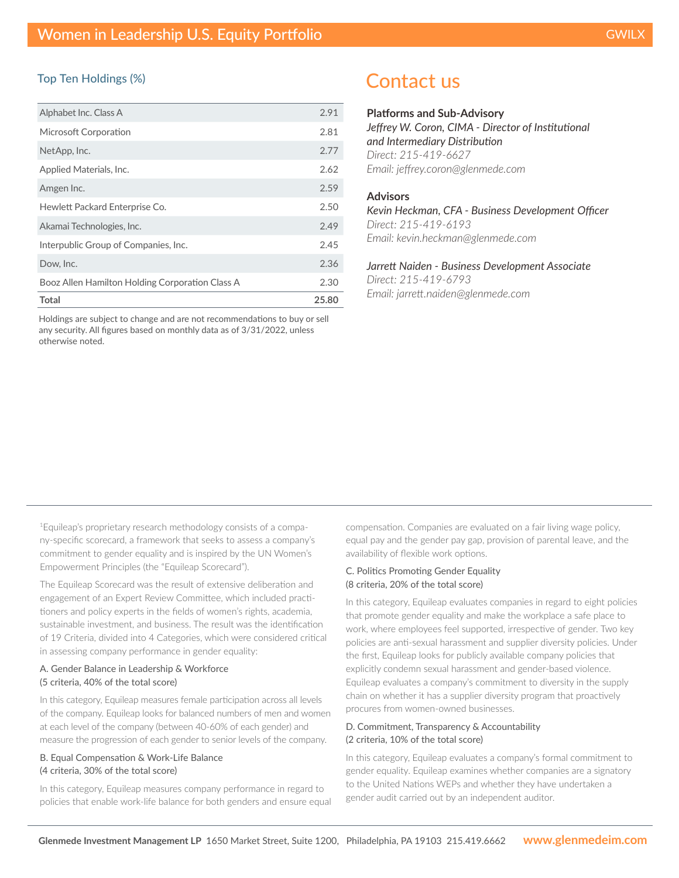#### Top Ten Holdings (%)

| Alphabet Inc. Class A                           | 2.91 |
|-------------------------------------------------|------|
| Microsoft Corporation                           | 2.81 |
| NetApp, Inc.                                    | 2.77 |
| Applied Materials, Inc.                         | 2.62 |
| Amgen Inc.                                      | 2.59 |
| Hewlett Packard Enterprise Co.                  | 2.50 |
| Akamai Technologies, Inc.                       | 2.49 |
| Interpublic Group of Companies, Inc.            | 2.45 |
| Dow, Inc.                                       | 2.36 |
| Booz Allen Hamilton Holding Corporation Class A | 2.30 |
| Total                                           |      |

Holdings are subject to change and are not recommendations to buy or sell any security. All figures based on monthly data as of 3/31/2022, unless otherwise noted.

# Contact us

#### **Platforms and Sub-Advisory**

*Jeffrey W. Coron, CIMA - Director of Institutional and Intermediary Distribution Direct: 215-419-6627 Email: jeffrey.coron@glenmede.com*

#### **Advisors**

*Kevin Heckman, CFA - Business Development Officer Direct: 215-419-6193 Email: kevin.heckman@glenmede.com*

*Jarrett Naiden - Business Development Associate Direct: 215-419-6793 Email: jarrett.naiden@glenmede.com*

1Equileap's proprietary research methodology consists of a company-specific scorecard, a framework that seeks to assess a company's commitment to gender equality and is inspired by the UN Women's Empowerment Principles (the "Equileap Scorecard").

The Equileap Scorecard was the result of extensive deliberation and engagement of an Expert Review Committee, which included practitioners and policy experts in the fields of women's rights, academia, sustainable investment, and business. The result was the identification of 19 Criteria, divided into 4 Categories, which were considered critical in assessing company performance in gender equality:

#### A. Gender Balance in Leadership & Workforce (5 criteria, 40% of the total score)

In this category, Equileap measures female participation across all levels of the company. Equileap looks for balanced numbers of men and women at each level of the company (between 40-60% of each gender) and measure the progression of each gender to senior levels of the company.

#### B. Equal Compensation & Work-Life Balance (4 criteria, 30% of the total score)

In this category, Equileap measures company performance in regard to policies that enable work-life balance for both genders and ensure equal compensation. Companies are evaluated on a fair living wage policy, equal pay and the gender pay gap, provision of parental leave, and the availability of flexible work options.

#### C. Politics Promoting Gender Equality (8 criteria, 20% of the total score)

In this category, Equileap evaluates companies in regard to eight policies that promote gender equality and make the workplace a safe place to work, where employees feel supported, irrespective of gender. Two key policies are anti-sexual harassment and supplier diversity policies. Under the first, Equileap looks for publicly available company policies that explicitly condemn sexual harassment and gender-based violence. Equileap evaluates a company's commitment to diversity in the supply chain on whether it has a supplier diversity program that proactively procures from women-owned businesses.

#### D. Commitment, Transparency & Accountability (2 criteria, 10% of the total score)

In this category, Equileap evaluates a company's formal commitment to gender equality. Equileap examines whether companies are a signatory to the United Nations WEPs and whether they have undertaken a gender audit carried out by an independent auditor.